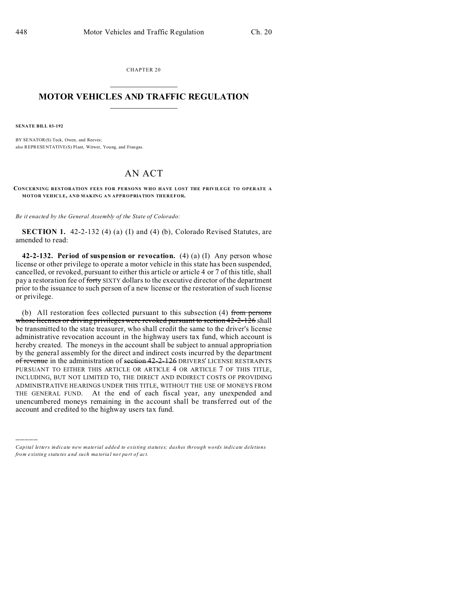CHAPTER 20  $\overline{\phantom{a}}$  , where  $\overline{\phantom{a}}$ 

## **MOTOR VEHICLES AND TRAFFIC REGULATION**  $\frac{1}{2}$  ,  $\frac{1}{2}$  ,  $\frac{1}{2}$  ,  $\frac{1}{2}$  ,  $\frac{1}{2}$  ,  $\frac{1}{2}$  ,  $\frac{1}{2}$

**SENATE BILL 03-192**

)))))

BY SENATOR(S) Teck, Owen, and Reeves; also REPRESENTATIVE(S) Plant, Witwer, Young, and Frangas.

## AN ACT

**CONCERNING RESTORATION FEES FO R PERSONS WHO HAVE LOST THE PRIVILEGE TO OPERATE A MOTOR VEHICLE, AND MAKING AN APPROPRIATION THEREFOR.**

*Be it enacted by the General Assembly of the State of Colorado:*

**SECTION 1.** 42-2-132 (4) (a) (I) and (4) (b), Colorado Revised Statutes, are amended to read:

**42-2-132. Period of suspension or revocation.** (4) (a) (I) Any person whose license or other privilege to operate a motor vehicle in this state has been suspended, cancelled, or revoked, pursuant to either this article or article 4 or 7 of this title, shall pay a restoration fee of forty SIXTY dollars to the executive director of the department prior to the issuance to such person of a new license or the restoration of such license or privilege.

(b) All restoration fees collected pursuant to this subsection (4) from persons whose licenses or driving privileges were revoked pursuant to section 42-2-126 shall be transmitted to the state treasurer, who shall credit the same to the driver's license administrative revocation account in the highway users tax fund, which account is hereby created. The moneys in the account shall be subject to annual appropriation by the general assembly for the direct and indirect costs incurred by the department of revenue in the administration of section 42-2-126 DRIVERS' LICENSE RESTRAINTS PURSUANT TO EITHER THIS ARTICLE OR ARTICLE 4 OR ARTICLE 7 OF THIS TITLE, INCLUDING, BUT NOT LIMITED TO, THE DIRECT AND INDIRECT COSTS OF PROVIDING ADMINISTRATIVE HEARINGS UNDER THIS TITLE, WITHOUT THE USE OF MONEYS FROM THE GENERAL FUND. At the end of each fiscal year, any unexpended and unencumbered moneys remaining in the account shall be transferred out of the account and credited to the highway users tax fund.

*Capital letters indicate new material added to existing statutes; dashes through words indicate deletions from e xistin g statu tes a nd such ma teria l no t pa rt of ac t.*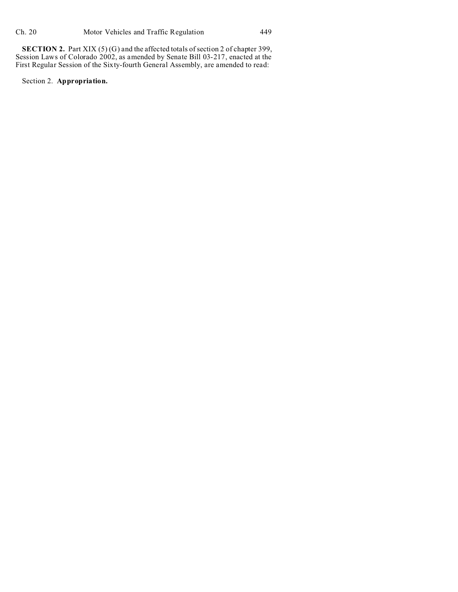**SECTION 2.** Part XIX (5) (G) and the affected totals of section 2 of chapter 399, Session Laws of Colorado 2002, as amended by Senate Bill 03-217, enacted at the First Regular Session of the Sixty-fourth General Assembly, are amended to read:

Section 2. **Appropriation.**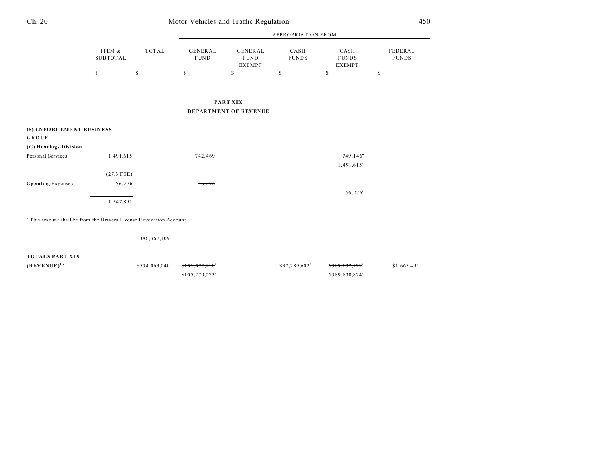| Ch. 20 | Motor Vehicles and Traffic Regulation | 450 |
|--------|---------------------------------------|-----|
|        |                                       |     |

|                                                                                |                           |               |                               | <b>APPROPRIATION FROM</b>                      |                           |                                       |                         |  |
|--------------------------------------------------------------------------------|---------------------------|---------------|-------------------------------|------------------------------------------------|---------------------------|---------------------------------------|-------------------------|--|
|                                                                                | ITEM &<br><b>SUBTOTAL</b> | <b>TOTAL</b>  | <b>GENERAL</b><br><b>FUND</b> | <b>GENERAL</b><br><b>FUND</b><br><b>EXEMPT</b> | CASH<br><b>FUNDS</b>      | CASH<br><b>FUNDS</b><br><b>EXEMPT</b> | FEDERAL<br><b>FUNDS</b> |  |
|                                                                                | $\mathbb S$               | \$            | \$                            | \$                                             | \$                        | \$                                    | $\mathbb S$             |  |
|                                                                                |                           |               |                               |                                                |                           |                                       |                         |  |
|                                                                                |                           |               |                               | <b>PART XIX</b>                                |                           |                                       |                         |  |
|                                                                                |                           |               |                               | DEPARTMENT OF REVENUE                          |                           |                                       |                         |  |
| (5) ENFORCEMENT BUSINESS<br><b>GROUP</b>                                       |                           |               |                               |                                                |                           |                                       |                         |  |
| (G) Hearings Division                                                          |                           |               |                               |                                                |                           |                                       |                         |  |
| Personal Services                                                              | 1,491,615                 |               | 742,469                       |                                                |                           | 749,146°                              |                         |  |
|                                                                                |                           |               |                               |                                                |                           | $1,491,615$ <sup>a</sup>              |                         |  |
|                                                                                | $(27.3$ FTE)              |               |                               |                                                |                           |                                       |                         |  |
| Operating Expenses                                                             | 56,276                    |               | 56,276                        |                                                |                           |                                       |                         |  |
|                                                                                |                           |               |                               |                                                |                           | $56,276^{\circ}$                      |                         |  |
|                                                                                | 1,547,891                 |               |                               |                                                |                           |                                       |                         |  |
| <sup>a</sup> This amount shall be from the Drivers License Revocation Account. |                           |               |                               |                                                |                           |                                       |                         |  |
|                                                                                |                           | 396, 367, 109 |                               |                                                |                           |                                       |                         |  |
| <b>TOTALS PART XIX</b>                                                         |                           |               |                               |                                                |                           |                                       |                         |  |
| $(REVENUE)^{5,6}$                                                              |                           | \$534,063,040 | $$106,077,818$ <sup>*</sup>   |                                                | \$37,289,602 <sup>b</sup> | $$389.032.129$ <sup>*</sup>           | \$1,663,491             |  |
|                                                                                |                           |               | \$105,279,073 <sup>a</sup>    |                                                |                           | \$389,830,874°                        |                         |  |
|                                                                                |                           |               |                               |                                                |                           |                                       |                         |  |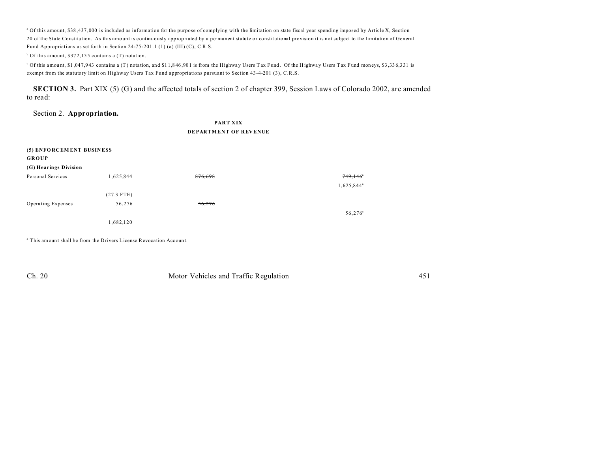<sup>a</sup> Of this amount, \$38,437,000 is included as information for the purpose of complying with the limitation on state fiscal year spending imposed by Article X, Section 20 of the State Constitution. As this amount is continuously appropriated by a permanent statute or constitutional provision it is not subject to the limitation of General Fund Appropriations as set forth in Section 24-75-201.1 (1) (a) (III) (C), C.R.S.

<sup>b</sup> Of this amount, \$372,155 contains a (T) notation.

of this amount, \$1,047,943 contains a (T) notation, and \$11,846,901 is from the Highway Users Tax Fund. Of the Highway Users Tax Fund moneys, \$3,336,331 is exempt from the statutory limit on Highway Users Tax Fund appropriations pursuant to Section 43-4-201 (3), C.R.S.

**SECTION 3.** Part XIX (5) (G) and the affected totals of section 2 of chapter 399, Session Laws of Colorado 2002, are amended to read:

Section 2. **Appropriation.**

**PART XIX DEPARTMENT OF REVENUE**

| (5) ENFORCEMENT BUSINESS<br><b>GROUP</b> |              |         |                        |
|------------------------------------------|--------------|---------|------------------------|
| (G) Hearings Division                    |              |         |                        |
| Personal Services                        | 1,625,844    | 876,698 | $749,146^\circ$        |
|                                          |              |         | 1,625,844 <sup>a</sup> |
|                                          | $(27.3$ FTE) |         |                        |
| Operating Expenses                       | 56,276       | 56,276  |                        |
|                                          |              |         | 56,276 <sup>a</sup>    |
|                                          | 1,682,120    |         |                        |

<sup>a</sup> This amount shall be from the Drivers License Revocation Account.

Ch. 20 Motor Vehicles and Traffic Regulation 451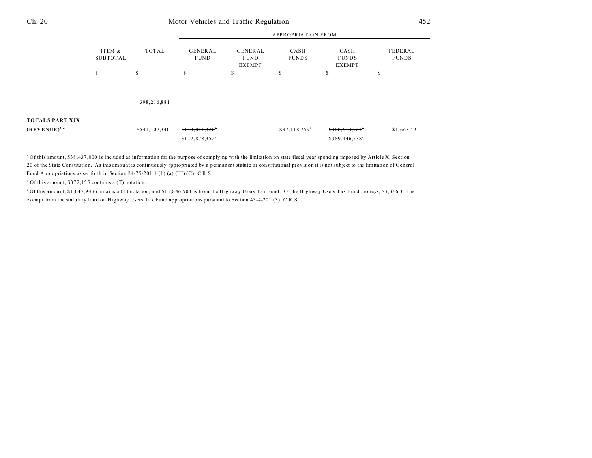## Ch. 20 Motor Vehicles and Traffic Regulation 452

|                                             | ITEM &<br><b>SUBTOTAL</b> | TOTAL         | <b>APPROPRIATION FROM</b>     |                                                |                      |                                       |                         |  |
|---------------------------------------------|---------------------------|---------------|-------------------------------|------------------------------------------------|----------------------|---------------------------------------|-------------------------|--|
|                                             |                           |               | <b>GENERAL</b><br><b>FUND</b> | <b>GENERAL</b><br><b>FUND</b><br><b>EXEMPT</b> | CASH<br><b>FUNDS</b> | CASH<br><b>FUNDS</b><br><b>EXEMPT</b> | FEDERAL<br><b>FUNDS</b> |  |
|                                             | \$                        | \$            | \$                            | S                                              | \$                   | S                                     | S                       |  |
|                                             |                           | 398,216,881   |                               |                                                |                      |                                       |                         |  |
| <b>TOTALS PART XIX</b><br>$(REVENUE)^{5,6}$ |                           | \$541,107,340 | \$113,811,326"                |                                                | $$37,118,759^b$      | \$388,513,764°                        | \$1,663,491             |  |
|                                             |                           |               | \$112,878,352 <sup>a</sup>    |                                                |                      | \$389,446,738°                        |                         |  |

<sup>a</sup> Of this amount, \$38,437,000 is included as information for the purpose of complying with the limitation on state fiscal year spending imposed by Article X, Section 20 of the State Constitution. As this amount is continuously appropriated by a permanent statute or constitutional provision it is not subject to the limitation of General Fund Appropriations as set forth in Section 24-75-201.1 (1) (a) (III) (C), C.R.S.

<sup>b</sup> Of this amount, \$372,155 contains a (T) notation.

of this amount, \$1,047,943 contains a (T) notation, and \$11,846,901 is from the Highway Users Tax Fund. Of the Highway Users Tax Fund moneys, \$3,336,331 is exempt from the statutory limit on Highway Users Tax Fund appropriations pursuant to Section 43-4-201 (3), C.R.S.